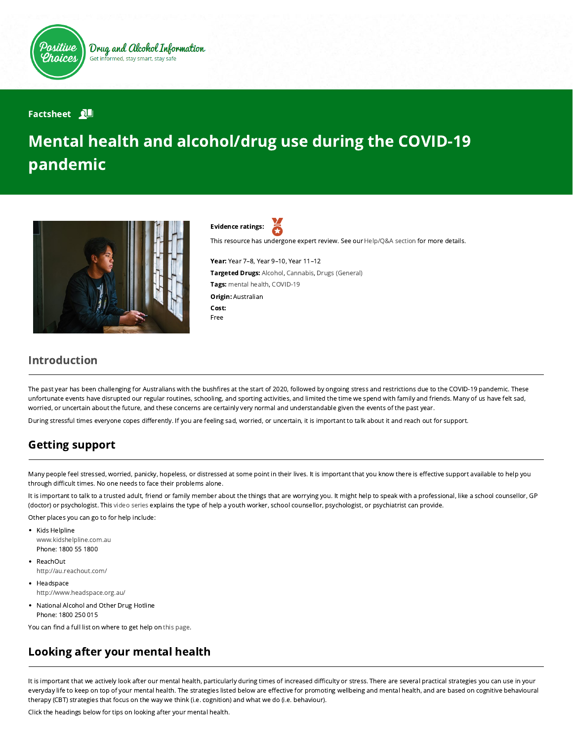

Drug and Alcohol Information Get informed, stay smart, stay safe

#### **Factsheet N**

# Mental health and alcohol/drug use during the COVID-19 pandemic



Evidence ratings:

This resource has undergone expert review. See our [Help/Q&A section](https://positivechoices.org.au/help/questions-and-answers/) for more details.

Year: Year 7–8, Year 9–10, Year 11–12 Targeted Drugs: Alcohol, Cannabis, Drugs (General) Tags: mental health, COVID-19 **Origin: Australian** Cost: Free

#### Introduction

The past year has been challenging for Australians with the bushfires at the start of 2020, followed by ongoing stress and restrictions due to the COVID-19 pandemic. These unfortunate events have disrupted our regular routines, schooling, and sporting activities, and limited the time we spend with family and friends. Many of us have felt sad, worried, or uncertain about the future, and these concerns are certainly very normal and understandable given the events of the past year.

During stressful times everyone copes differently. If you are feeling sad, worried, or uncertain, it is important to talk about it and reach out for support.

#### Getting support

Many people feel stressed, worried, panicky, hopeless, or distressed at some point in their lives. It is important that you know there is effective support available to help you through difficult times. No one needs to face their problems alone.

It is important to talk to a trusted adult, friend or family member about the things that are worrying you. It might help to speak with a professional, like a school counsellor, GP (doctor) or psychologist. This [video series](https://positivechoices.org.au/students/do-something-about-it-getting-help-series) explains the type of help a youth worker, school counsellor, psychologist, or psychiatrist can provide.

Other places you can go to for help include:

- Kids Helpline [www.kidshelpline.com.au](http://www.kidshelpline.com.au/) Phone: 1800 55 1800
- ReachOut <http://au.reachout.com/>
- Headspace <http://www.headspace.org.au/>
- National Alcohol and Other Drug Hotline Phone: 1800 250 015

You can find a full list on where to get help on [this page.](https://positivechoices.org.au/information/where-to-get-help)

# Looking after your mental health

It is important that we actively look after our mental health, particularly during times of increased difficulty or stress. There are several practical strategies you can use in your everyday life to keep on top of your mental health. The strategies listed below are effective for promoting wellbeing and mental health, and are based on cognitive behavioural therapy (CBT) strategies that focus on the way we think (i.e. cognition) and what we do (i.e. behaviour).

Click the headings below for tips on looking after your mental health.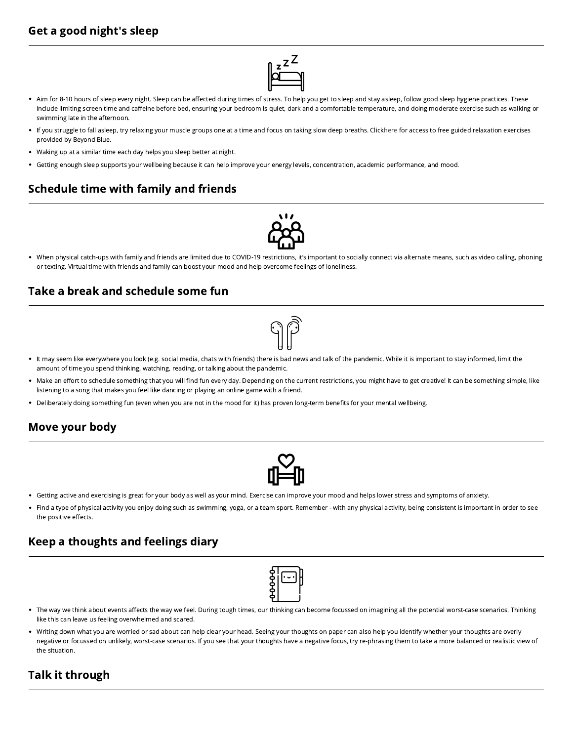## Get a good night's sleep



- Aim for 8-10 hours of sleep every night. Sleep can be affected during times of stress. To help you get to sleep and stay asleep, follow good sleep hygiene practices. These include limiting screen time and caffeine before bed, ensuring your bedroom is quiet, dark and a comfortable temperature, and doing moderate exercise such as walking or swimming late in the afternoon.
- If you struggle to fall asleep, try relaxing your muscle groups one at a time and focus on taking slow deep breaths. Click [here](https://www.beyondblue.org.au/get-support/staying-well/relaxation-exercises) for access to free guided relaxation exercises provided by Beyond Blue.
- Waking up at a similar time each day helps you sleep better at night.
- Getting enough sleep supports your wellbeing because it can help improve your energy levels, concentration, academic performance, and mood.

#### Schedule time with family and friends



When physical catch-ups with family and friends are limited due to COVID-19 restrictions, it's important to socially connect via alternate means, such as video calling, phoning or texting. Virtual time with friends and family can boost your mood and help overcome feelings of loneliness.

#### Take a break and schedule some fun



- It may seem like everywhere you look (e.g. social media, chats with friends) there is bad news and talk of the pandemic. While it is important to stay informed, limit the amount of time you spend thinking, watching, reading, or talking about the pandemic.
- . Make an effort to schedule something that you will find fun every day. Depending on the current restrictions, you might have to get creative! It can be something simple, like listening to a song that makes you feel like dancing or playing an online game with a friend.
- . Deliberately doing something fun (even when you are not in the mood for it) has proven long-term benefits for your mental wellbeing.

#### Move your body



- Getting active and exercising is great for your body as well as your mind. Exercise can improve your mood and helps lower stress and symptoms of anxiety.
- Find a type of physical activity you enjoy doing such as swimming, yoga, or a team sport. Remember with any physical activity, being consistent is important in order to see the positive effects.

#### Keep a thoughts and feelings diary

- . The way we think about events affects the way we feel. During tough times, our thinking can become focussed on imagining all the potential worst-case scenarios. Thinking like this can leave us feeling overwhelmed and scared.
- Writing down what you are worried or sad about can help clear your head. Seeing your thoughts on paper can also help you identify whether your thoughts are overly negative or focussed on unlikely, worst-case scenarios. If you see that your thoughts have a negative focus, try re-phrasing them to take a more balanced or realistic view of the situation.

## Talk it through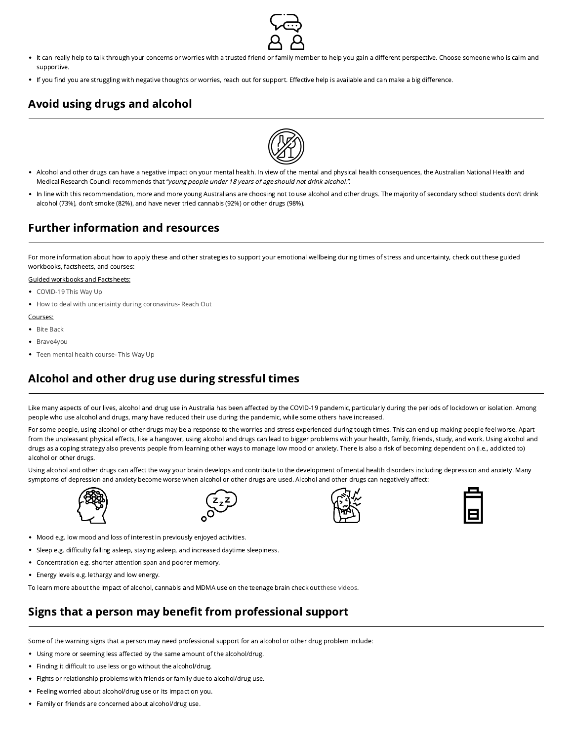

- It can really help to talk through your concerns or worries with a trusted friend or family member to help you gain a different perspective. Choose someone who is calm and supportive.
- . If you find you are struggling with negative thoughts or worries, reach out for support. Effective help is available and can make a big difference.

## Avoid using drugs and alcohol



- Alcohol and other drugs can have a negative impact on your mental health. In view of the mental and physical health consequences, the Australian National Health and Medical Research Council recommends that "young people under 18 years of age should not drink alcohol.".
- . In line with this recommendation, more and more young Australians are choosing not to use alcohol and other drugs. The majority of secondary school students don't drink alcohol (73%), don't smoke (82%), and have never tried cannabis (92%) or other drugs (98%).

#### Further information and resources

For more information about how to apply these and other strategies to support your emotional wellbeing during times of stress and uncertainty, check out these guided workbooks, factsheets, and courses:

#### Guided workbooks and Factsheets:

- [COVID-19 This Way Up](https://covid19.thiswayup.org.au/)
- [How to deal with uncertainty during coronavirus- Reach Out](https://au.reachout.com/articles/how-to-deal-with-uncertainty-during-coronavirus)

#### Courses:

- [Bite Back](https://www.biteback.org.au/)
- [Brave4you](https://brave4you.psy.uq.edu.au/about)
- [Teen mental health course- This Way Up](https://thiswayup.org.au/courses/the-teen-mental-health-course/)

## Alcohol and other drug use during stressful times

Like many aspects of our lives, alcohol and drug use in Australia has been affected by the COVID-19 pandemic, particularly during the periods of lockdown or isolation. Among people who use alcohol and drugs, many have reduced their use during the pandemic, while some others have increased.

For some people, using alcohol or other drugs may be a response to the worries and stress experienced during tough times. This can end up making people feel worse. Apart from the unpleasant physical effects, like a hangover, using alcohol and drugs can lead to bigger problems with your health, family, friends, study, and work. Using alcohol and drugs as a coping strategy also prevents people from learning other ways to manage low mood or anxiety. There is also a risk of becoming dependent on (i.e., addicted to) alcohol or other drugs.

Using alcohol and other drugs can affect the way your brain develops and contribute to the development of mental health disorders including depression and anxiety. Many symptoms of depression and anxiety become worse when alcohol or other drugs are used. Alcohol and other drugs can negatively affect:



- Mood e.g. low mood and loss of interest in previously enjoyed activities.
- Sleep e.g. difficulty falling asleep, staying asleep, and increased daytime sleepiness.
- Concentration e.g. shorter attention span and poorer memory.
- Energy levels e.g. lethargy and low energy.

To learn more about the impact of alcohol, cannabis and MDMA use on the teenage brain check out [these videos.](https://positivechoices.org.au/students/respect-your-brain)

# Signs that a person may benefit from professional support

Some of the warning signs that a person may need professional support for an alcohol or other drug problem include:

- Using more or seeming less affected by the same amount of the alcohol/drug.
- Finding it difficult to use less or go without the alcohol/drug.
- Fights or relationship problems with friends or family due to alcohol/drug use.
- Feeling worried about alcohol/drug use or its impact on you.
- Family or friends are concerned about alcohol/drug use.